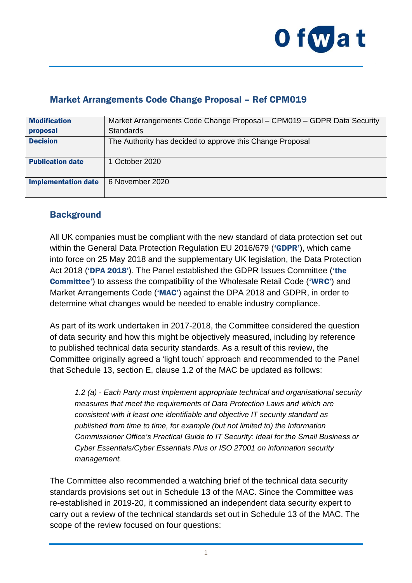

# Market Arrangements Code Change Proposal – Ref CPM019

| <b>Modification</b>        | Market Arrangements Code Change Proposal - CPM019 - GDPR Data Security |
|----------------------------|------------------------------------------------------------------------|
| proposal                   | <b>Standards</b>                                                       |
| <b>Decision</b>            | The Authority has decided to approve this Change Proposal              |
| <b>Publication date</b>    | 1 October 2020                                                         |
| <b>Implementation date</b> | 6 November 2020                                                        |

## **Background**

All UK companies must be compliant with the new standard of data protection set out within the General Data Protection Regulation EU 2016/679 ('GDPR'), which came into force on 25 May 2018 and the supplementary UK legislation, the Data Protection Act 2018 ('DPA 2018'). The Panel established the GDPR Issues Committee ('the Committee') to assess the compatibility of the Wholesale Retail Code ('WRC') and Market Arrangements Code ('MAC') against the DPA 2018 and GDPR, in order to determine what changes would be needed to enable industry compliance.

As part of its work undertaken in 2017-2018, the Committee considered the question of data security and how this might be objectively measured, including by reference to published technical data security standards. As a result of this review, the Committee originally agreed a 'light touch' approach and recommended to the Panel that Schedule 13, section E, clause 1.2 of the MAC be updated as follows:

*1.2 (a) - Each Party must implement appropriate technical and organisational security measures that meet the requirements of Data Protection Laws and which are consistent with it least one identifiable and objective IT security standard as published from time to time, for example (but not limited to) the Information Commissioner Office's Practical Guide to IT Security: Ideal for the Small Business or Cyber Essentials/Cyber Essentials Plus or ISO 27001 on information security management.*

The Committee also recommended a watching brief of the technical data security standards provisions set out in Schedule 13 of the MAC. Since the Committee was re-established in 2019-20, it commissioned an independent data security expert to carry out a review of the technical standards set out in Schedule 13 of the MAC. The scope of the review focused on four questions: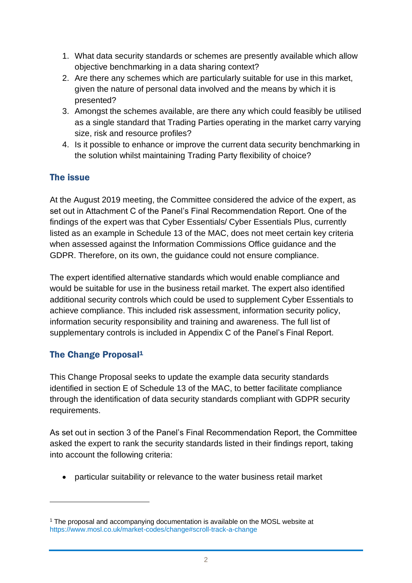- 1. What data security standards or schemes are presently available which allow objective benchmarking in a data sharing context?
- 2. Are there any schemes which are particularly suitable for use in this market, given the nature of personal data involved and the means by which it is presented?
- 3. Amongst the schemes available, are there any which could feasibly be utilised as a single standard that Trading Parties operating in the market carry varying size, risk and resource profiles?
- 4. Is it possible to enhance or improve the current data security benchmarking in the solution whilst maintaining Trading Party flexibility of choice?

# The issue

At the August 2019 meeting, the Committee considered the advice of the expert, as set out in Attachment C of the Panel's Final Recommendation Report. One of the findings of the expert was that Cyber Essentials/ Cyber Essentials Plus, currently listed as an example in Schedule 13 of the MAC, does not meet certain key criteria when assessed against the Information Commissions Office guidance and the GDPR. Therefore, on its own, the guidance could not ensure compliance.

The expert identified alternative standards which would enable compliance and would be suitable for use in the business retail market. The expert also identified additional security controls which could be used to supplement Cyber Essentials to achieve compliance. This included risk assessment, information security policy, information security responsibility and training and awareness. The full list of supplementary controls is included in Appendix C of the Panel's Final Report.

# The Change Proposal<sup>1</sup>

This Change Proposal seeks to update the example data security standards identified in section E of Schedule 13 of the MAC, to better facilitate compliance through the identification of data security standards compliant with GDPR security requirements.

As set out in section 3 of the Panel's Final Recommendation Report, the Committee asked the expert to rank the security standards listed in their findings report, taking into account the following criteria:

• particular suitability or relevance to the water business retail market

<sup>&</sup>lt;sup>1</sup> The proposal and accompanying documentation is available on the MOSL website at <https://www.mosl.co.uk/market-codes/change#scroll-track-a-change>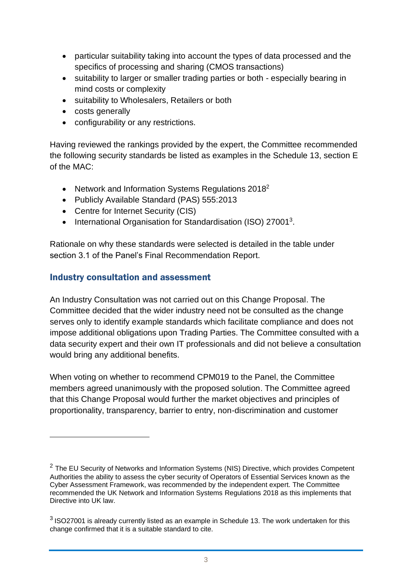- particular suitability taking into account the types of data processed and the specifics of processing and sharing (CMOS transactions)
- suitability to larger or smaller trading parties or both especially bearing in mind costs or complexity
- suitability to Wholesalers, Retailers or both
- costs generally
- configurability or any restrictions.

Having reviewed the rankings provided by the expert, the Committee recommended the following security standards be listed as examples in the Schedule 13, section E of the MAC:

- Network and Information Systems Regulations 2018<sup>2</sup>
- Publicly Available Standard (PAS) 555:2013
- Centre for Internet Security (CIS)
- International Organisation for Standardisation (ISO) 27001<sup>3</sup>.

Rationale on why these standards were selected is detailed in the table under section 3.1 of the Panel's Final Recommendation Report.

### Industry consultation and assessment

An Industry Consultation was not carried out on this Change Proposal. The Committee decided that the wider industry need not be consulted as the change serves only to identify example standards which facilitate compliance and does not impose additional obligations upon Trading Parties. The Committee consulted with a data security expert and their own IT professionals and did not believe a consultation would bring any additional benefits.

When voting on whether to recommend CPM019 to the Panel, the Committee members agreed unanimously with the proposed solution. The Committee agreed that this Change Proposal would further the market objectives and principles of proportionality, transparency, barrier to entry, non-discrimination and customer

 $2$  The EU Security of Networks and Information Systems (NIS) Directive, which provides Competent Authorities the ability to assess the cyber security of Operators of Essential Services known as the Cyber Assessment Framework, was recommended by the independent expert. The Committee recommended the UK Network and Information Systems Regulations 2018 as this implements that Directive into UK law.

 $3$  ISO27001 is already currently listed as an example in Schedule 13. The work undertaken for this change confirmed that it is a suitable standard to cite.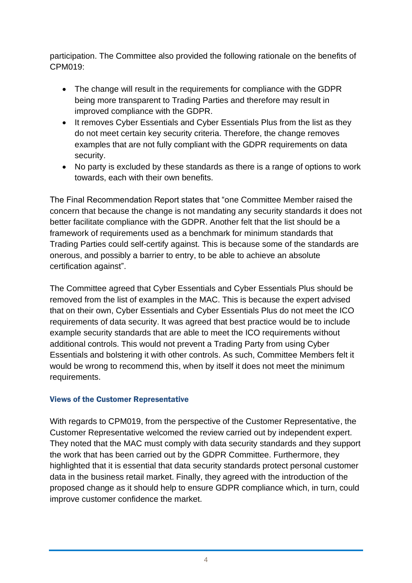participation. The Committee also provided the following rationale on the benefits of CPM019:

- The change will result in the requirements for compliance with the GDPR being more transparent to Trading Parties and therefore may result in improved compliance with the GDPR.
- It removes Cyber Essentials and Cyber Essentials Plus from the list as they do not meet certain key security criteria. Therefore, the change removes examples that are not fully compliant with the GDPR requirements on data security.
- No party is excluded by these standards as there is a range of options to work towards, each with their own benefits.

The Final Recommendation Report states that "one Committee Member raised the concern that because the change is not mandating any security standards it does not better facilitate compliance with the GDPR. Another felt that the list should be a framework of requirements used as a benchmark for minimum standards that Trading Parties could self-certify against. This is because some of the standards are onerous, and possibly a barrier to entry, to be able to achieve an absolute certification against".

The Committee agreed that Cyber Essentials and Cyber Essentials Plus should be removed from the list of examples in the MAC. This is because the expert advised that on their own, Cyber Essentials and Cyber Essentials Plus do not meet the ICO requirements of data security. It was agreed that best practice would be to include example security standards that are able to meet the ICO requirements without additional controls. This would not prevent a Trading Party from using Cyber Essentials and bolstering it with other controls. As such, Committee Members felt it would be wrong to recommend this, when by itself it does not meet the minimum requirements.

#### Views of the Customer Representative

With regards to CPM019, from the perspective of the Customer Representative, the Customer Representative welcomed the review carried out by independent expert. They noted that the MAC must comply with data security standards and they support the work that has been carried out by the GDPR Committee. Furthermore, they highlighted that it is essential that data security standards protect personal customer data in the business retail market. Finally, they agreed with the introduction of the proposed change as it should help to ensure GDPR compliance which, in turn, could improve customer confidence the market.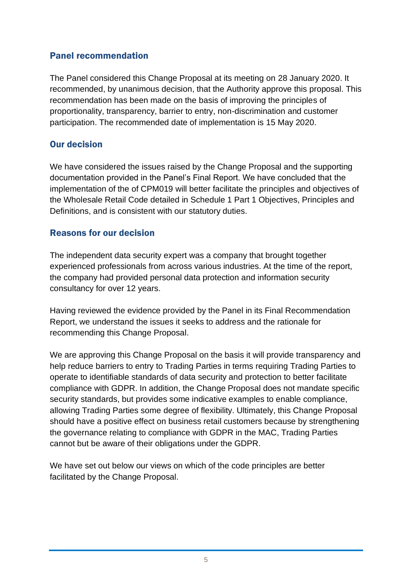### Panel recommendation

The Panel considered this Change Proposal at its meeting on 28 January 2020. It recommended, by unanimous decision, that the Authority approve this proposal. This recommendation has been made on the basis of improving the principles of proportionality, transparency, barrier to entry, non-discrimination and customer participation. The recommended date of implementation is 15 May 2020.

## Our decision

We have considered the issues raised by the Change Proposal and the supporting documentation provided in the Panel's Final Report. We have concluded that the implementation of the of CPM019 will better facilitate the principles and objectives of the Wholesale Retail Code detailed in Schedule 1 Part 1 Objectives, Principles and Definitions, and is consistent with our statutory duties.

## Reasons for our decision

The independent data security expert was a company that brought together experienced professionals from across various industries. At the time of the report, the company had provided personal data protection and information security consultancy for over 12 years.

Having reviewed the evidence provided by the Panel in its Final Recommendation Report, we understand the issues it seeks to address and the rationale for recommending this Change Proposal.

We are approving this Change Proposal on the basis it will provide transparency and help reduce barriers to entry to Trading Parties in terms requiring Trading Parties to operate to identifiable standards of data security and protection to better facilitate compliance with GDPR. In addition, the Change Proposal does not mandate specific security standards, but provides some indicative examples to enable compliance, allowing Trading Parties some degree of flexibility. Ultimately, this Change Proposal should have a positive effect on business retail customers because by strengthening the governance relating to compliance with GDPR in the MAC, Trading Parties cannot but be aware of their obligations under the GDPR.

We have set out below our views on which of the code principles are better facilitated by the Change Proposal.